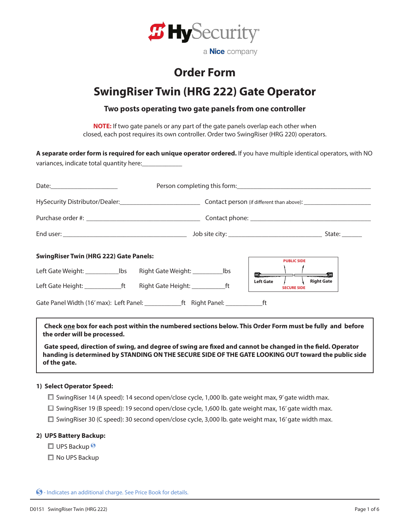

## **Order Form**

# **SwingRiser Twin (HRG 222) Gate Operator**

### **Two posts operating two gate panels from one controller**

**NOTE:** If two gate panels or any part of the gate panels overlap each other when closed, each post requires its own controller. Order two SwingRiser (HRG 220) operators.

| variances, indicate total quantity here:                                  |                                                                                           | A separate order form is required for each unique operator ordered. If you have multiple identical operators, with NO |
|---------------------------------------------------------------------------|-------------------------------------------------------------------------------------------|-----------------------------------------------------------------------------------------------------------------------|
|                                                                           |                                                                                           |                                                                                                                       |
|                                                                           |                                                                                           | HySecurity Distributor/Dealer: 1990 1990 1991 Contact person (if different than above): 1991 1992 1991 1991 19        |
|                                                                           |                                                                                           |                                                                                                                       |
|                                                                           |                                                                                           |                                                                                                                       |
| <b>SwingRiser Twin (HRG 222) Gate Panels:</b>                             |                                                                                           | <b>PUBLIC SIDE</b>                                                                                                    |
|                                                                           |                                                                                           |                                                                                                                       |
| Left Gate Height: ________________ft Right Gate Height: _______________ft |                                                                                           | <b>Right Gate</b><br><b>Left Gate</b><br><b>SECURE SIDE</b>                                                           |
|                                                                           | Gate Panel Width (16' max): Left Panel: _______________ft Right Panel: ________________ft |                                                                                                                       |

 **Check one box for each post within the numbered sections below. This Order Form must be fully and before the order will be processed.**

**Gate speed, direction of swing, and degree of swing are fixed and cannot be changed in the field. Operator handing is determined by STANDING ON THE SECURE SIDE OF THE GATE LOOKING OUT toward the public side of the gate.**

### **1) Select Operator Speed:**

- $\Box$  SwingRiser 14 (A speed): 14 second open/close cycle, 1,000 lb. gate weight max, 9' gate width max.
- $\square$  SwingRiser 19 (B speed): 19 second open/close cycle, 1,600 lb. gate weight max, 16' gate width max.
- $\square$  SwingRiser 30 (C speed): 30 second open/close cycle, 3,000 lb. gate weight max, 16' gate width max.

### **2) UPS Battery Backup:**

- $\square$  UPS Backup
- □ No UPS Backup

 $\bigcirc$  - Indicates an additional charge. See Price Book for details.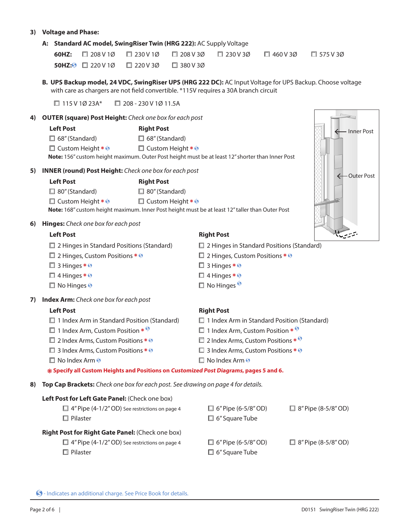### **3) Voltage and Phase:**

### **A: Standard AC model, SwingRiser Twin (HRG 222):** AC Supply Voltage

|  |                                                        |  | 60HZ: $\Box$ 208 V 10 $\Box$ 230 V 10 $\Box$ 208 V 30 $\Box$ 230 V 30 $\Box$ 460 V 30 $\Box$ 575 V 30 |  |
|--|--------------------------------------------------------|--|-------------------------------------------------------------------------------------------------------|--|
|  | <b>50HZ:</b> $\Box$ 220V1Ø $\Box$ 220V3Ø $\Box$ 380V3Ø |  |                                                                                                       |  |

**B. UPS Backup model, 24 VDC, SwingRiser UPS (HRG 222 DC):** AC Input Voltage for UPS Backup. Choose voltage with care as chargers are not field convertible. \*115V requires a 30A branch circuit

 $\Box$  115 V 1Ø 23A\*  $\Box$  208 - 230 V 1Ø 11.5A

### **4) OUTER (square) Post Height:** *Check one box for each post*

| <b>Left Post</b>                  | <b>Right Post</b>                                                                                       |
|-----------------------------------|---------------------------------------------------------------------------------------------------------|
| $\Box$ 68" (Standard)             | $\Box$ 68" (Standard)                                                                                   |
| $\Box$ Custom Height $\ast \odot$ | $\Box$ Custom Height $\ast \circ$                                                                       |
|                                   | <b>Note:</b> 156" custom height maximum. Outer Post height must be at least 12" shorter than Inner Post |

**5) INNER (round) Post Height:** *Check one box for each post*

| <b>Left Post</b>                  | <b>Right Post</b>                 |
|-----------------------------------|-----------------------------------|
| $\Box$ 80" (Standard)             | $\Box$ 80" (Standard)             |
| $\Box$ Custom Height $\ast \circ$ | $\Box$ Custom Height $\ast \odot$ |
|                                   |                                   |

**Note:** 168" custom height maximum. Inner Post height must be at least 12" taller than Outer Post

### **6) Hinges:** *Check one box for each post*

## ليحتويب **Left Post Right Post**  $\square$  2 Hinges in Standard Positions (Standard)  $\square$  2 Hinges in Standard Positions (Standard)  $\Box$  2 Hinges, Custom Positions  $\ast \circ$   $\Box$  2 Hinges, Custom Positions  $\ast \circ$  $\Box$  3 Hinges  $* \odot \Box$  3 Hinges  $* \odot$  $\Box$  4 Hinges  $* \odot$  $\Box$  No Hinges  $\degree$ **7) Index Arm:** *Check one box for each post* **Left Post Right Post**  $\Box$  1 Index Arm in Standard Position (Standard)  $\Box$  1 Index Arm in Standard Position (Standard)  $\Box$  1 Index Arm, Custom Position  $*$   $\degree$   $\Box$  1 Index Arm, Custom Position  $*$   $\degree$  $\Box$  2 Index Arms, Custom Positions  $*\, \Theta$   $\Box$  2 Index Arms, Custom Positions  $*\, \Theta$  $\square$  3 Index Arms, Custom Positions  $*\; \circledast$   $\square$  3 Index Arms, Custom Positions  $*\; \circledast$  $\Box$  No Index Arm  $\odot$  **Specify all Custom Heights and Positions on Customized Post Diagrams, pages 5 and 6.**

**8) Top Cap Brackets:** *Check one box for each post. See drawing on page 4 for details.*

| Left Post for Left Gate Panel: (Check one box)        |                            |                            |
|-------------------------------------------------------|----------------------------|----------------------------|
| $\Box$ 4" Pipe (4-1/2" OD) See restrictions on page 4 | $\Box$ 6" Pipe (6-5/8" OD) | $\Box$ 8" Pipe (8-5/8" OD) |
| $\Box$ Pilaster                                       | $\Box$ 6" Square Tube      |                            |
| Right Post for Right Gate Panel: (Check one box)      |                            |                            |
| $\Box$ 4" Pipe (4-1/2" OD) See restrictions on page 4 | $\Box$ 6" Pipe (6-5/8" OD) | $\Box$ 8" Pipe (8-5/8" OD) |
| $\Box$ Pilaster                                       | $\Box$ 6" Square Tube      |                            |

 $\bigcirc$  - Indicates an additional charge. See Price Book for details.



Inner Post

 $\rightarrow$ 

Outer Post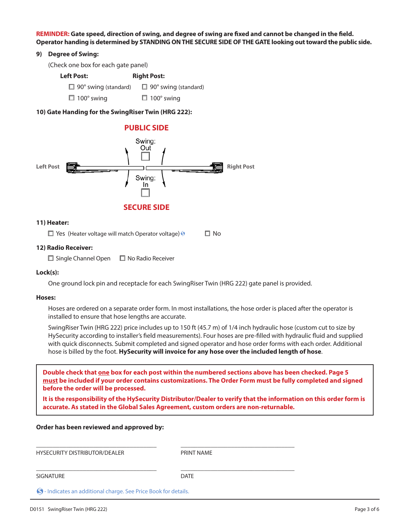**REMINDER: Gate speed, direction of swing, and degree of swing are fixed and cannot be changed in the field. Operator handing is determined by STANDING ON THE SECURE SIDE OF THE GATE looking out toward the public side.**

### **9) Degree of Swing:**

(Check one box for each gate panel)

**Left Post: Right Post:**  $\Box$  90° swing (standard)  $\Box$  90° swing (standard)

 $\Box$  100° swing  $\Box$  100° swing

### **10) Gate Handing for the SwingRiser Twin (HRG 222):**



### **11) Heater:**

 $\Box$  Yes (Heater voltage will match Operator voltage)  $\circ$   $\Box$  No

### **12) Radio Receiver:**

 $\Box$  Single Channel Open  $\Box$  No Radio Receiver

### **Lock(s):**

One ground lock pin and receptacle for each SwingRiser Twin (HRG 222) gate panel is provided.

#### **Hoses:**

Hoses are ordered on a separate order form. In most installations, the hose order is placed after the operator is installed to ensure that hose lengths are accurate.

SwingRiser Twin (HRG 222) price includes up to 150 ft (45.7 m) of 1/4 inch hydraulic hose (custom cut to size by HySecurity according to installer's field measurements). Four hoses are pre-filled with hydraulic fluid and supplied with quick disconnects. Submit completed and signed operator and hose order forms with each order. Additional hose is billed by the foot. **HySecurity will invoice for any hose over the included length of hose**.

**Double check that one box for each post within the numbered sections above has been checked. Page 5 must be included if your order contains customizations. The Order Form must be fully completed and signed before the order will be processed.**

**It is the responsibility of the HySecurity Distributor/Dealer to verify that the information on this order form is accurate. As stated in the Global Sales Agreement, custom orders are non-returnable.**

### **Order has been reviewed and approved by:**

HYSECURITY DISTRIBUTOR/DEALER PRINT NAME

SIGNATURE DATE

\_\_\_\_\_\_\_\_\_\_\_\_\_\_\_\_\_\_\_\_\_\_\_\_\_\_\_\_\_\_\_\_\_\_\_\_ \_\_\_\_\_\_\_\_\_\_\_\_\_\_\_\_\_\_\_\_\_\_\_\_\_\_\_\_\_\_\_\_\_\_

\_\_\_\_\_\_\_\_\_\_\_\_\_\_\_\_\_\_\_\_\_\_\_\_\_\_\_\_\_\_\_\_\_\_\_\_ \_\_\_\_\_\_\_\_\_\_\_\_\_\_\_\_\_\_\_\_\_\_\_\_\_\_\_\_\_\_\_\_\_\_

 $\circledR$  - Indicates an additional charge. See Price Book for details.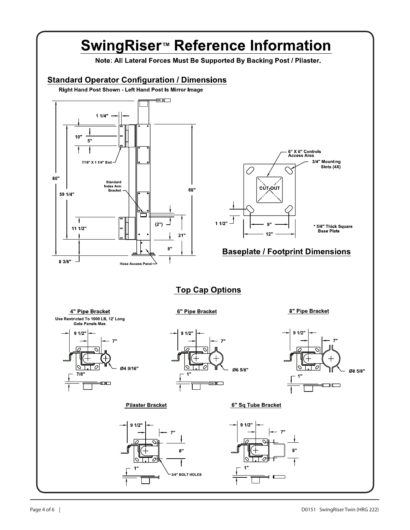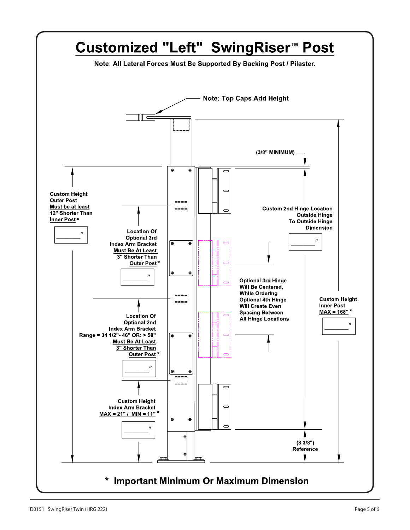